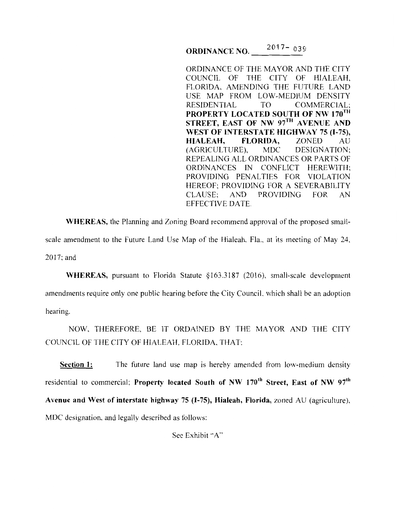**ORDINANCE NO.** \_\_\_\_<sup>20</sup> 017- <sub>039</sub>

ORDINANCE OF THE MAYOR AND THE CITY COUNCIL OF THE CITY OF HIALEAH, FLORIDA, AMENDING THE FUTURE LAND USE MAP FROM LOW-MEDIUM DENSITY RESIDENTIAL TO COMMERCIAL; **PROPERTY LOCATED SOUTH OF NW 170<sup>TH</sup> STREET, EAST OF NW 97<sup>TH</sup> AVENUE AND WEST OF INTERSTATE HIGHWAY 75 (I-75), HIALEAH, FLORIDA,** ZONED AU (AGRICULTURE), MDC DESIGNATION; REPEALING ALL ORDINANCES OR PARTS OF ORDINANCES IN CONFLICT HEREWITH; PROVIDING PENALTIES FOR VIOLATION HEREOF; PROVIDING FOR A SEVERABILITY CLAUSE; AND PROVIDING FOR AN EFFECTIVE DATE.

**WHEREAS,** the Planning and Zoning Board recommend approval of the proposed smallscale amendment to the Future Land Use Map of the Hialeah, Fla., at its meeting of May 24, 2017;and

WHEREAS, pursuant to Florida Statute §163.3187 (2016), small-scale development amendments require only one public hearing before the City Council, which shall be an adoption hearing.

NOW, THEREFORE, BE IT ORDAINED BY THE MAYOR AND THE CITY COUNCIL OF THE CITY OF HIALEAH, FLORIDA. THAT:

**Section 1:** The future land use map is hereby amended from low-medium density residential to commercial; **Property located South of NW 170<sup>th</sup> Street, East of NW 97<sup>th</sup> Avenue and West of interstate highway 75 (1-75), Hialeah, Florida,** zoned AU (agriculture), MDC designation, and legally described as follows:

See Exhibit "A"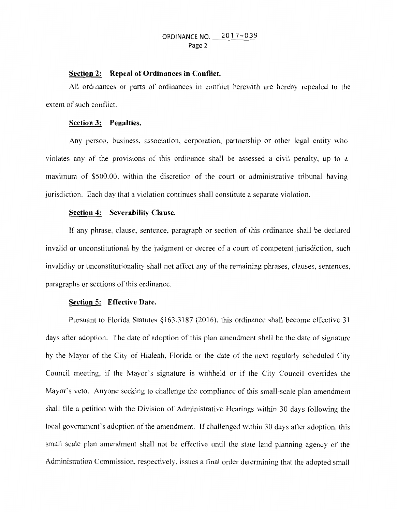# ORDINANCE NO. 2017-039 Page 2

# **Section 2: Repeal of Ordinances in Conflict.**

All ordinances or parts of ordinances in conflict herewith are hereby repealed to the extent of such conflict.

## **Section 3: Penalties.**

Any person, business, association, corporation, partnership or other legal entity who violates any of the provisions of this ordinance shall be assessed a civil penalty, up to a maximum of \$500.00, within the discretion of the court or administrative tribunal having jurisdiction. Each day that a violation continues shall constitute a separate violation.

## **Section 4: Severability Clause.**

If any phrase, clause, sentence. paragraph or section of this ordinance shall be declared invalid or unconstitutional by the judgment or decree of a court of competent jurisdiction, such invalidity or unconstitutionality shall not affect any of the remaining phrases, clauses, sentences, paragraphs or sections of this ordinance.

# **Section 5: Effective Date.**

Pursuant to Florida Statutes § 163.3187 (2016), this ordinance shall become effective 31 days after adoption. The date of adoption of this plan amendment shall be the date of signature by the Mayor of the City of Hialeah, Florida or the date of the next regularly scheduled City Council meeting. if the Mayor's signature is withheld or if the City Council overrides the Mayor's veto. Anyone seeking to challenge the compliance of this small-scale plan amendment shall file a petition with the Division of Administrative Hearings within 30 days following the local government's adoption of the amendment. If challenged within 30 days after adoption, this small scale plan amendment shall not be effective until the state land planning agency of the Administration Commission, respectively, issues a final order determining that the adopted small